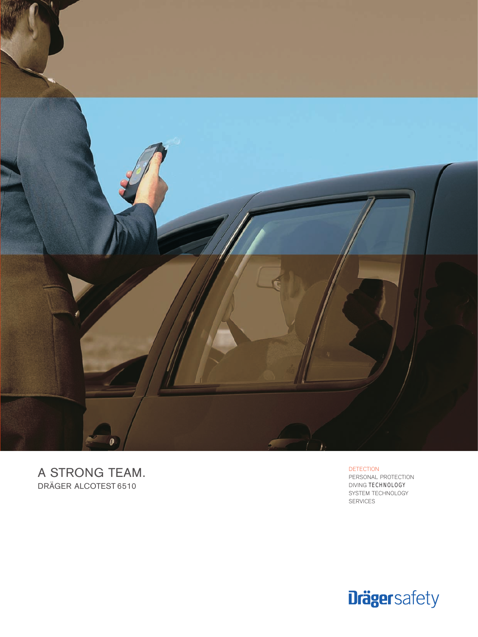

## A STRONG TEAM. DRÄGER ALCOTEST 6510

### DETECTION

PERSONAL PROTECTION DIVING TECHNOLOGY SYSTEM TECHNOLOGY SERVICES

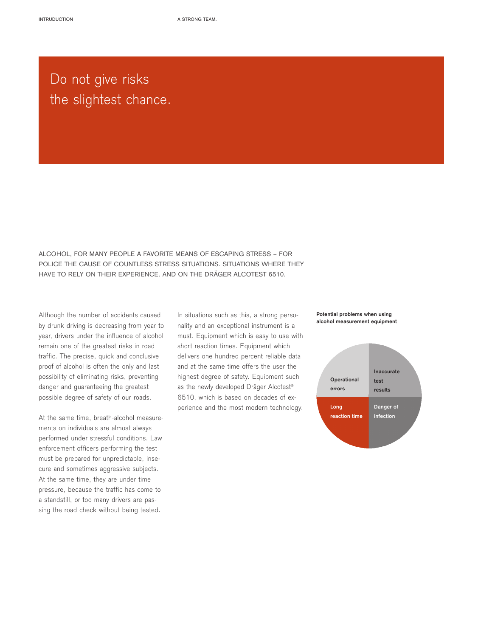# Do not give risks the slightest chance.

ALCOHOL, FOR MANY PEOPLE A FAVORITE MEANS OF ESCAPING STRESS – FOR POLICE THE CAUSE OF COUNTLESS STRESS SITUATIONS. SITUATIONS WHERE THEY HAVE TO RELY ON THEIR EXPERIENCE. AND ON THE DRÄGER ALCOTEST 6510.

Although the number of accidents caused by drunk driving is decreasing from year to year, drivers under the influence of alcohol remain one of the greatest risks in road traffic. The precise, quick and conclusive proof of alcohol is often the only and last possibility of eliminating risks, preventing danger and guaranteeing the greatest possible degree of safety of our roads.

At the same time, breath-alcohol measurements on individuals are almost always performed under stressful conditions. Law enforcement officers performing the test must be prepared for unpredictable, insecure and sometimes aggressive subjects. At the same time, they are under time pressure, because the traffic has come to a standstill, or too many drivers are passing the road check without being tested.

In situations such as this, a strong personality and an exceptional instrument is a must. Equipment which is easy to use with short reaction times. Equipment which delivers one hundred percent reliable data and at the same time offers the user the highest degree of safety. Equipment such as the newly developed Dräger Alcotest® 6510, which is based on decades of experience and the most modern technology.

#### Potential problems when using alcohol measurement equipment

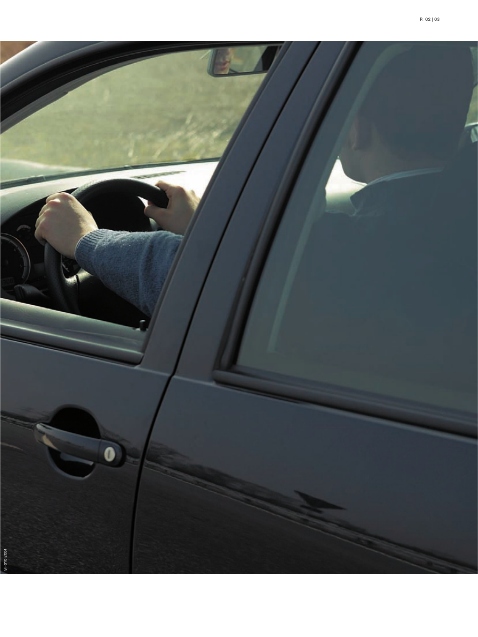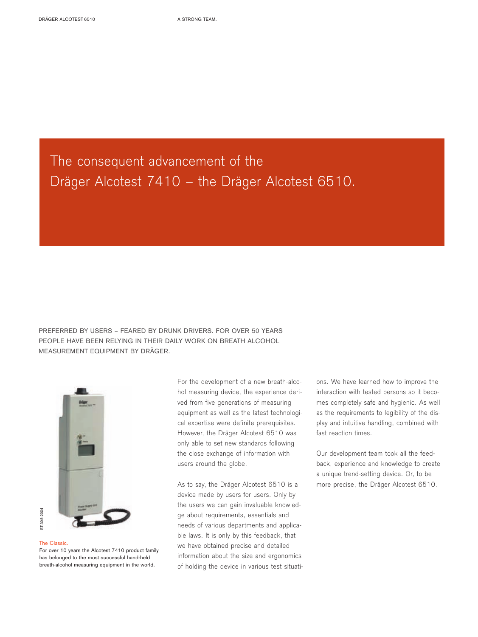The consequent advancement of the Dräger Alcotest 7410 – the Dräger Alcotest 6510.

PREFERRED BY USERS – FEARED BY DRUNK DRIVERS. FOR OVER 50 YEARS PEOPLE HAVE BEEN RELYING IN THEIR DAILY WORK ON BREATH ALCOHOL MEASUREMENT EQUIPMENT BY DRÄGER.



The Classic.

For over 10 years the Alcotest 7410 product family has belonged to the most successful hand-held

For the development of a new breath-alcohol measuring device, the experience derived from five generations of measuring equipment as well as the latest technological expertise were definite prerequisites. However, the Dräger Alcotest 6510 was only able to set new standards following the close exchange of information with users around the globe.

As to say, the Dräger Alcotest 6510 is a device made by users for users. Only by the users we can gain invaluable knowledge about requirements, essentials and needs of various departments and applicable laws. It is only by this feedback, that we have obtained precise and detailed information about the size and ergonomics of holding the device in various test situations. We have learned how to improve the interaction with tested persons so it becomes completely safe and hygienic. As well as the requirements to legibility of the display and intuitive handling, combined with fast reaction times.

Our development team took all the feedback, experience and knowledge to create a unique trend-setting device. Or, to be more precise, the Dräger Alcotest 6510.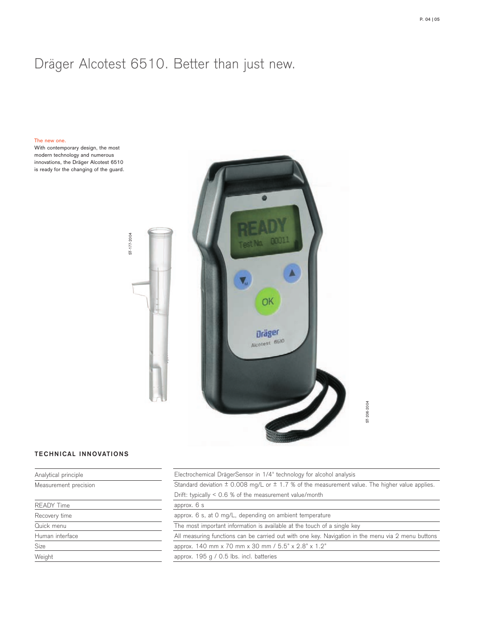# Dräger Alcotest 6510. Better than just new.

### The new one.

With contemporary design, the most modern technology and numerous innovations, the Dräger Alcotest 6510 is ready for the changing of the guard.

ST-177-2004

ST-177-2004



### TECHNICAL INNOVATIONS

| Analytical principle  | Electrochemical DrägerSensor in 1/4" technology for alcohol analysis                                   |
|-----------------------|--------------------------------------------------------------------------------------------------------|
| Measurement precision | Standard deviation $\pm$ 0.008 mg/L or $\pm$ 1.7 % of the measurement value. The higher value applies. |
|                       | Drift: typically $< 0.6$ % of the measurement value/month                                              |
| READY Time            | approx. 6 s                                                                                            |
| Recovery time         | approx. 6 s, at 0 mg/L, depending on ambient temperature                                               |
| Quick menu            | The most important information is available at the touch of a single key                               |
| Human interface       | All measuring functions can be carried out with one key. Navigation in the menu via 2 menu buttons     |
| Size                  | approx. 140 mm x 70 mm x 30 mm / 5.5" x 2.8" x 1.2"                                                    |
| Weight                | approx. 195 g / 0.5 lbs. incl. batteries                                                               |
|                       |                                                                                                        |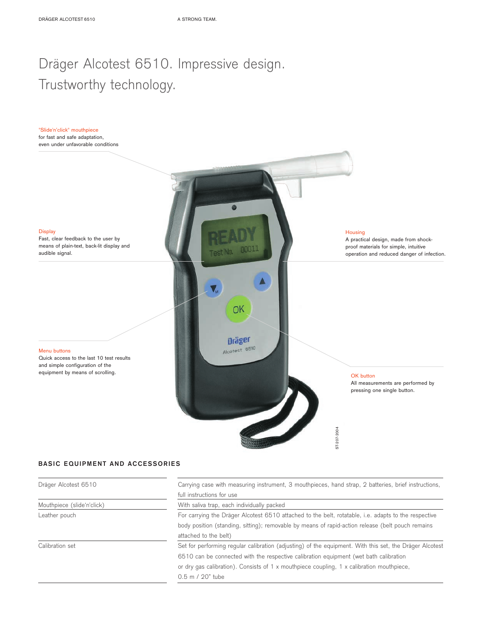# Dräger Alcotest 6510. Impressive design. Trustworthy technology.

### "Slide'n'click" mouthpiece for fast and safe adaptation, even under unfavorable conditions **Display** Housing Fast, clear feedback to the user by A practical design, made from shockmeans of plain-text, back-lit display and proof materials for simple, intuitive + No. audible signal. operation and reduced danger of infection. OK **Dräger** Alcotest 6510 Menu buttons Quick access to the last 10 test results and simple configuration of the equipment by means of scrolling. The contract of the contract of the contract of the contract of the contract of the contract of the contract of the contract of the contract of the contract of the contract of the contract All measurements are performed by pressing one single button. **Mariana** 3T-207-2004 ST-207-2004

### BASIC EQUIPMENT AND ACCESSORIES

| Dräger Alcotest 6510       | Carrying case with measuring instrument, 3 mouthpieces, hand strap, 2 batteries, brief instructions,    |
|----------------------------|---------------------------------------------------------------------------------------------------------|
|                            | full instructions for use                                                                               |
| Mouthpiece (slide'n'click) | With saliva trap, each individually packed                                                              |
| Leather pouch              | For carrying the Dräger Alcotest 6510 attached to the belt, rotatable, i.e. adapts to the respective    |
|                            | body position (standing, sitting); removable by means of rapid-action release (belt pouch remains       |
|                            | attached to the belt)                                                                                   |
| Calibration set            | Set for performing regular calibration (adjusting) of the equipment. With this set, the Dräger Alcotest |
|                            | 6510 can be connected with the respective calibration equipment (wet bath calibration                   |
|                            | or dry gas calibration). Consists of $1 \times$ mouthpiece coupling, $1 \times$ calibration mouthpiece, |
|                            | $0.5 \text{ m}$ / $20"$ tube                                                                            |
|                            |                                                                                                         |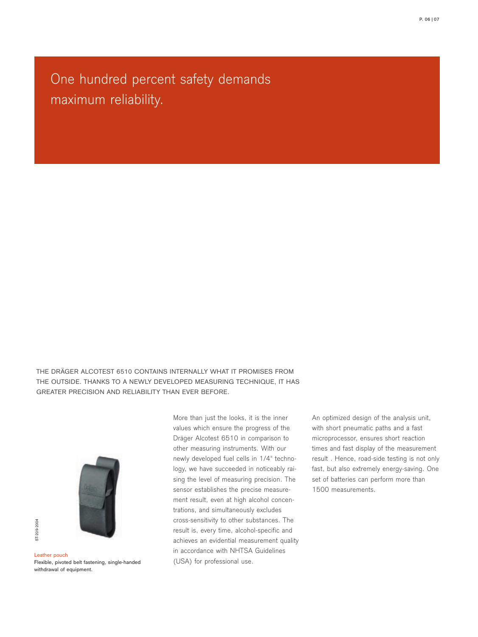One hundred percent safety demands maximum reliability.

THE DRÄGER ALCOTEST 6510 CONTAINS INTERNALLY WHAT IT PROMISES FROM THE OUTSIDE. THANKS TO A NEWLY DEVELOPED MEASURING TECHNIQUE, IT HAS GREATER PRECISION AND RELIABILITY THAN EVER BEFORE.



Leather pouch Flexible, pivoted belt fastening, single-handed weight<br>
withdrawal of equipment.<br>
The state of equipment.

More than just the looks, it is the inner values which ensure the progress of the Dräger Alcotest 6510 in comparison to other measuring instruments. With our newly developed fuel cells in 1/4" technology, we have succeeded in noticeably raising the level of measuring precision. The sensor establishes the precise measurement result, even at high alcohol concentrations, and simultaneously excludes cross-sensitivity to other substances. The result is, every time, alcohol-specific and achieves an evidential measurement quality in accordance with NHTSA Guidelines (USA) for professional use.

An optimized design of the analysis unit, with short pneumatic paths and a fast microprocessor, ensures short reaction times and fast display of the measurement result . Hence, road-side testing is not only fast, but also extremely energy-saving. One set of batteries can perform more than 1500 measurements.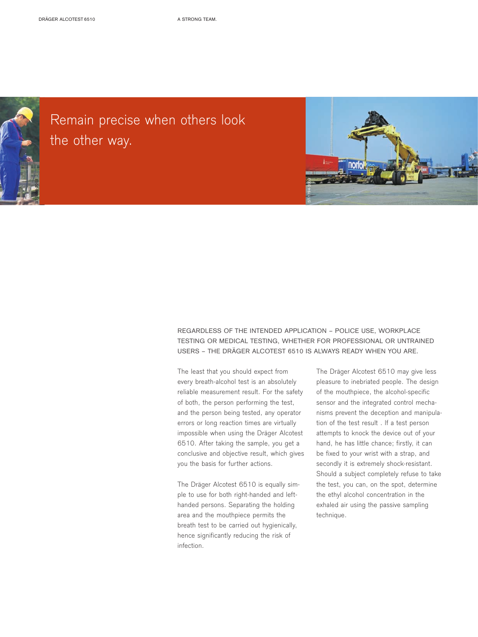

# Remain precise when others look the other way.



ST-1794-2003

The least that you should expect from every breath-alcohol test is an absolutely reliable measurement result. For the safety of both, the person performing the test, and the person being tested, any operator errors or long reaction times are virtually impossible when using the Dräger Alcotest 6510. After taking the sample, you get a conclusive and objective result, which gives you the basis for further actions.

The Dräger Alcotest 6510 is equally simple to use for both right-handed and lefthanded persons. Separating the holding area and the mouthpiece permits the breath test to be carried out hygienically, hence significantly reducing the risk of infection.

The Dräger Alcotest 6510 may give less pleasure to inebriated people. The design of the mouthpiece, the alcohol-specific sensor and the integrated control mechanisms prevent the deception and manipulation of the test result . If a test person attempts to knock the device out of your hand, he has little chance; firstly, it can be fixed to your wrist with a strap, and secondly it is extremely shock-resistant. Should a subject completely refuse to take the test, you can, on the spot, determine the ethyl alcohol concentration in the exhaled air using the passive sampling technique.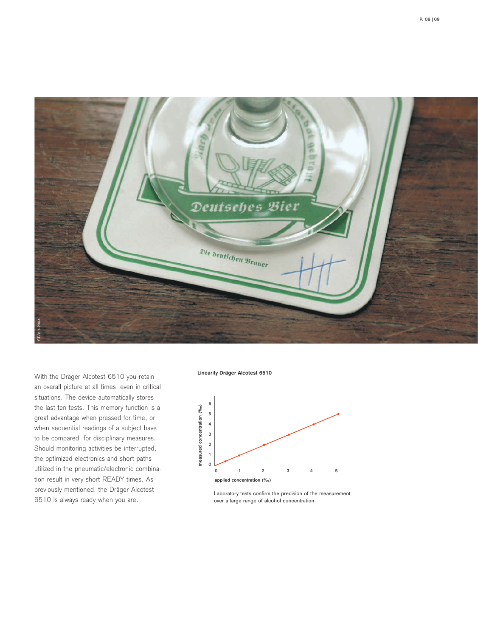

With the Dräger Alcotest 6510 you retain an overall picture at all times, even in critical situations. The device automatically stores the last ten tests. This memory function is a great advantage when pressed for time, or when sequential readings of a subject have to be compared for disciplinary measures. Should monitoring activities be interrupted, the optimized electronics and short paths utilized in the pneumatic/electronic combination result in very short READY times. As previously mentioned, the Dräger Alcotest 6510 is always ready when you are.

### Linearity Dräger Alcotest 6510



Laboratory tests confirm the precision of the measurement over a large range of alcohol concentration.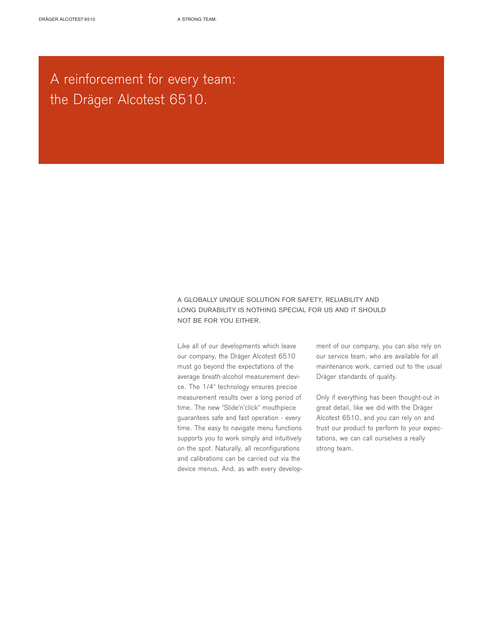# A reinforcement for every team: the Dräger Alcotest 6510.

A GLOBALLY UNIQUE SOLUTION FOR SAFETY, RELIABILITY AND LONG DURABILITY IS NOTHING SPECIAL FOR US AND IT SHOULD NOT BE FOR YOU EITHER.

Like all of our developments which leave our company, the Dräger Alcotest 6510 must go beyond the expectations of the average breath-alcohol measurement device. The 1/4" technology ensures precise measurement results over a long period of time. The new "Slide'n'click" mouthpiece guarantees safe and fast operation - every time. The easy to navigate menu functions supports you to work simply and intuitively on the spot. Naturally, all reconfigurations and calibrations can be carried out via the device menus. And, as with every development of our company, you can also rely on our service team, who are available for all maintenance work, carried out to the usual Dräger standards of quality.

Only if everything has been thought-out in great detail, like we did with the Dräger Alcotest 6510, and you can rely on and trust our product to perform to your expectations, we can call ourselves a really strong team.